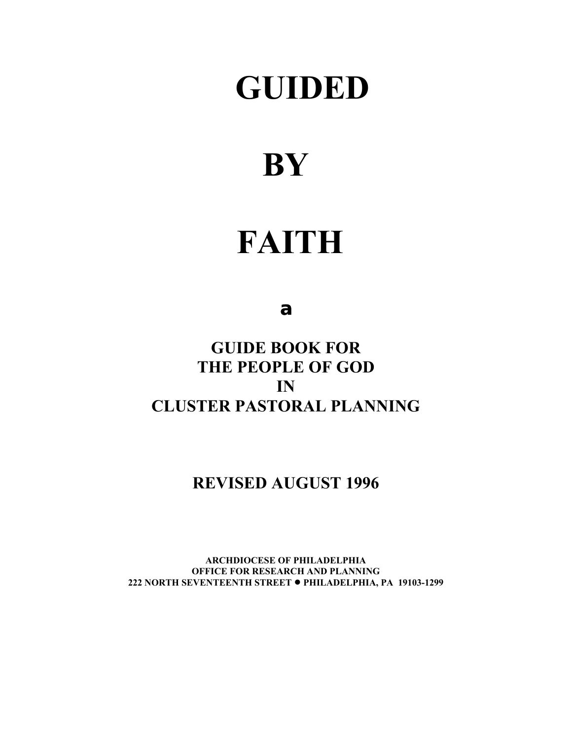# **GUIDED**

# **BY**

# **FAITH**

# **a**

**GUIDE BOOK FOR THE PEOPLE OF GOD IN CLUSTER PASTORAL PLANNING**

# **REVISED AUGUST 1996**

**ARCHDIOCESE OF PHILADELPHIA OFFICE FOR RESEARCH AND PLANNING 222 NORTH SEVENTEENTH STREET** ! **PHILADELPHIA, PA 19103-1299**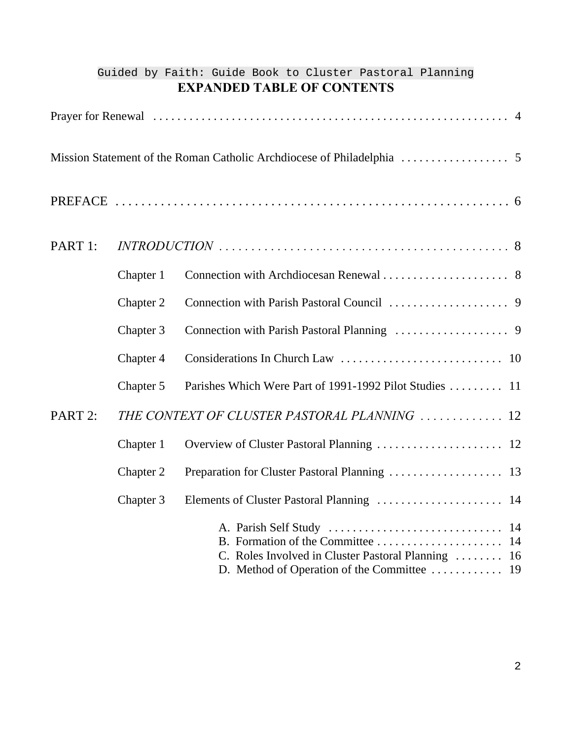|         |           | Guided by Faith: Guide Book to Cluster Pastoral Planning |
|---------|-----------|----------------------------------------------------------|
|         |           | <b>EXPANDED TABLE OF CONTENTS</b>                        |
|         |           |                                                          |
|         |           |                                                          |
|         |           |                                                          |
| PART 1: |           |                                                          |
|         | Chapter 1 |                                                          |
|         | Chapter 2 |                                                          |
|         | Chapter 3 |                                                          |
|         | Chapter 4 |                                                          |
|         | Chapter 5 | Parishes Which Were Part of 1991-1992 Pilot Studies  11  |
| PART 2: |           | THE CONTEXT OF CLUSTER PASTORAL PLANNING  12             |
|         | Chapter 1 | Overview of Cluster Pastoral Planning  12                |
|         | Chapter 2 |                                                          |
|         | Chapter 3 |                                                          |
|         |           | C. Roles Involved in Cluster Pastoral Planning  16       |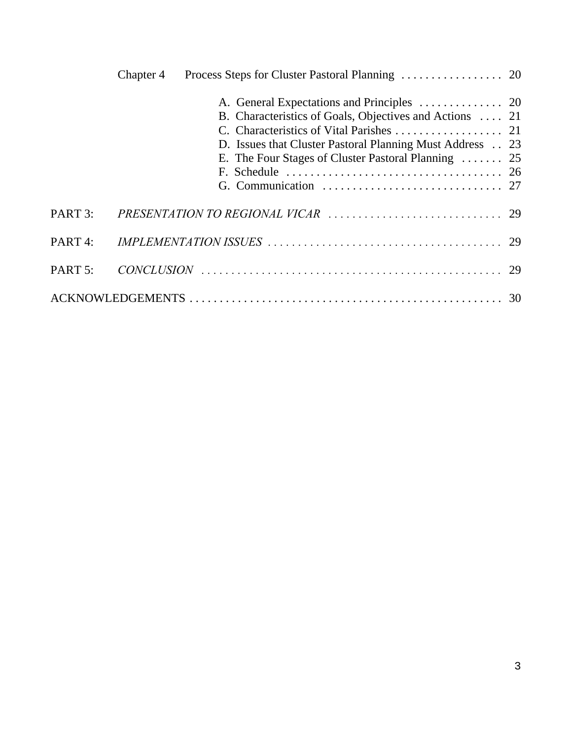|                    | Chapter 4 |                                                                                                                                                                            |  |
|--------------------|-----------|----------------------------------------------------------------------------------------------------------------------------------------------------------------------------|--|
|                    |           | B. Characteristics of Goals, Objectives and Actions  21<br>D. Issues that Cluster Pastoral Planning Must Address 23<br>E. The Four Stages of Cluster Pastoral Planning  25 |  |
| PART 3:            |           |                                                                                                                                                                            |  |
| PART <sub>4:</sub> |           |                                                                                                                                                                            |  |
| PART 5:            |           |                                                                                                                                                                            |  |
|                    |           |                                                                                                                                                                            |  |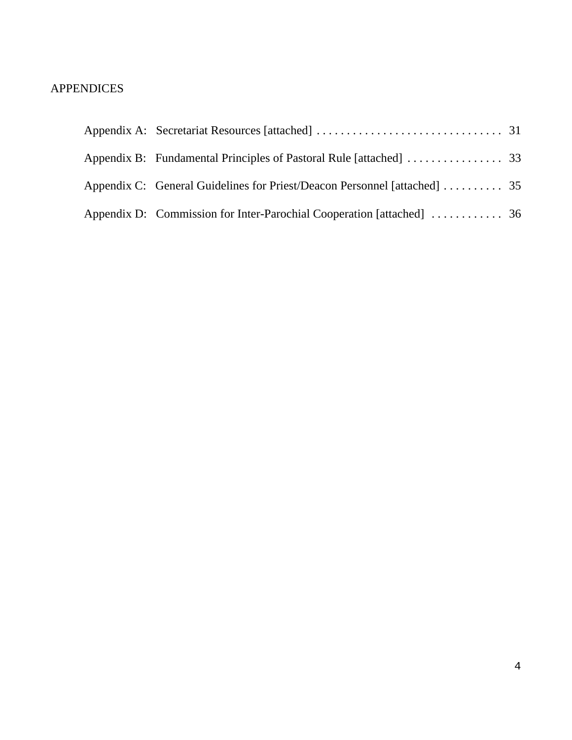## APPENDICES

| Appendix C: General Guidelines for Priest/Deacon Personnel [attached]  35 |  |
|---------------------------------------------------------------------------|--|
|                                                                           |  |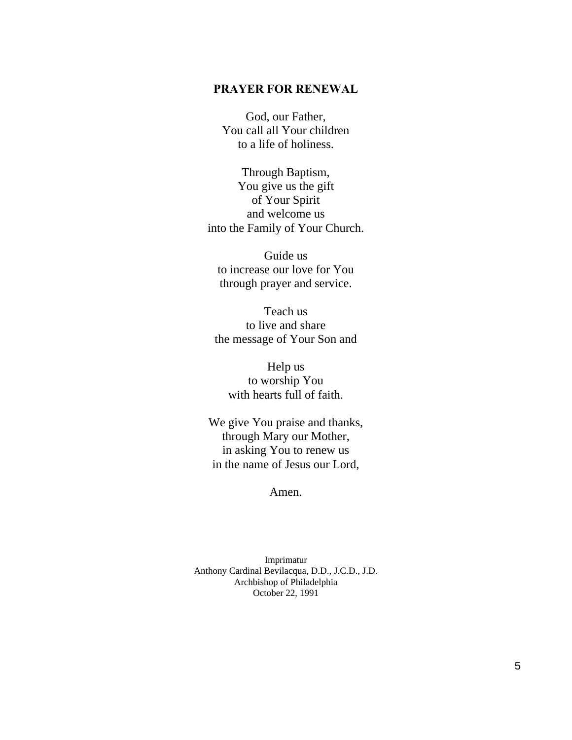#### **PRAYER FOR RENEWAL**

God, our Father, You call all Your children to a life of holiness.

Through Baptism, You give us the gift of Your Spirit and welcome us into the Family of Your Church.

Guide us to increase our love for You through prayer and service.

Teach us to live and share the message of Your Son and

Help us to worship You with hearts full of faith.

We give You praise and thanks, through Mary our Mother, in asking You to renew us in the name of Jesus our Lord,

Amen.

Imprimatur Anthony Cardinal Bevilacqua, D.D., J.C.D., J.D. Archbishop of Philadelphia October 22, 1991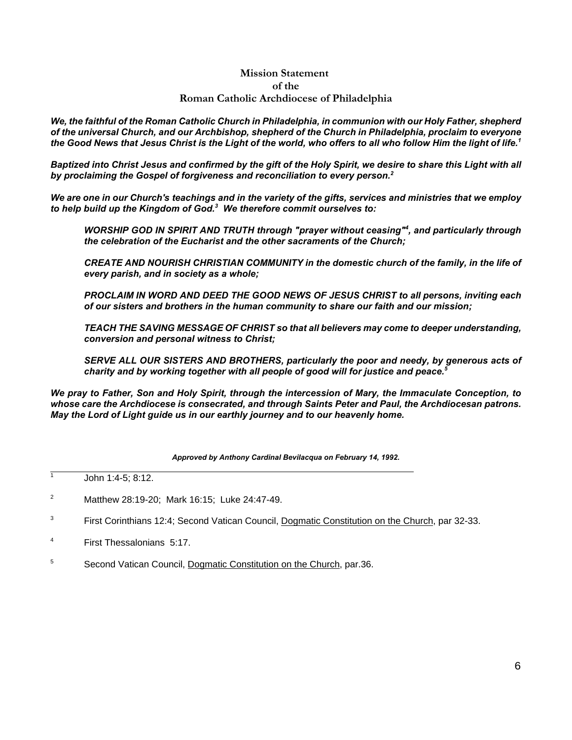#### *Mission Statement of the Roman Catholic Archdiocese of Philadelphia*

We, the faithful of the Roman Catholic Church in Philadelphia, in communion with our Holy Father, shepherd *of the universal Church, and our Archbishop, shepherd of the Church in Philadelphia, proclaim to everyone* the Good News that Jesus Christ is the Light of the world, who offers to all who follow Him the light of life.<sup>1</sup>

Baptized into Christ Jesus and confirmed by the gift of the Holy Spirit, we desire to share this Light with all *by proclaiming the Gospel of forgiveness and reconciliation to every person.<sup>2</sup>*

We are one in our Church's teachings and in the variety of the gifts, services and ministries that we employ *to help build up the Kingdom of God.<sup>3</sup> We therefore commit ourselves to:*

*WORSHIP GOD IN SPIRIT AND TRUTH through "prayer without ceasing"<sup>4</sup> , and particularly through the celebration of the Eucharist and the other sacraments of the Church;*

*CREATE AND NOURISH CHRISTIAN COMMUNITY in the domestic church of the family, in the life of every parish, and in society as a whole;*

*PROCLAIM IN WORD AND DEED THE GOOD NEWS OF JESUS CHRIST to all persons, inviting each of our sisters and brothers in the human community to share our faith and our mission;*

*TEACH THE SAVING MESSAGE OF CHRIST so that all believers may come to deeper understanding, conversion and personal witness to Christ;*

*SERVE ALL OUR SISTERS AND BROTHERS, particularly the poor and needy, by generous acts of charity and by working together with all people of good will for justice and peace.<sup>5</sup>*

*We pray to Father, Son and Holy Spirit, through the intercession of Mary, the Immaculate Conception, to whose care the Archdiocese is consecrated, and through Saints Peter and Paul, the Archdiocesan patrons. May the Lord of Light guide us in our earthly journey and to our heavenly home.*

*Approved by Anthony Cardinal Bevilacqua on February 14, 1992.*

John 1:4-5; 8:12.

 1

- <sup>2</sup> Matthew 28:19-20; Mark 16:15; Luke 24:47-49.
- <sup>3</sup> First Corinthians 12:4; Second Vatican Council, Dogmatic Constitution on the Church, par 32-33.
- <sup>4</sup> First Thessalonians 5:17.
- <sup>5</sup> Second Vatican Council, Dogmatic Constitution on the Church, par.36.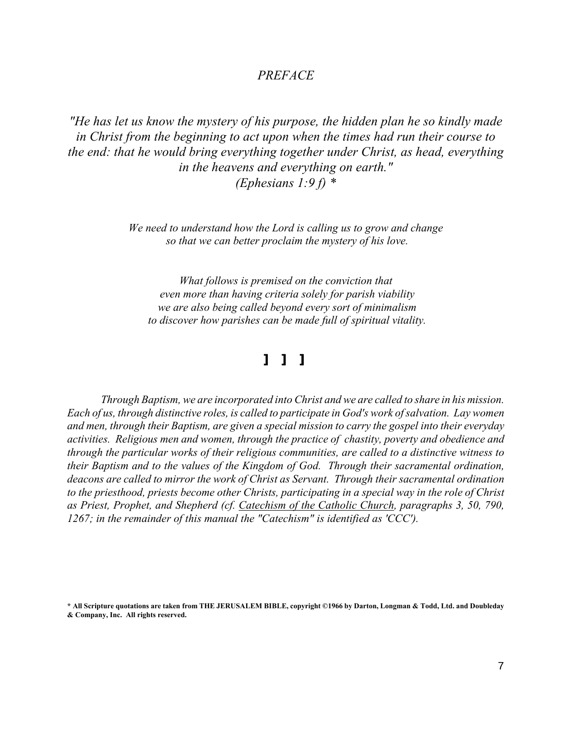#### *PREFACE*

*"He has let us know the mystery of his purpose, the hidden plan he so kindly made in Christ from the beginning to act upon when the times had run their course to the end: that he would bring everything together under Christ, as head, everything in the heavens and everything on earth." (Ephesians 1:9 f) \**

> *We need to understand how the Lord is calling us to grow and change so that we can better proclaim the mystery of his love.*

*What follows is premised on the conviction that even more than having criteria solely for parish viability we are also being called beyond every sort of minimalism to discover how parishes can be made full of spiritual vitality.*

# *] ] ]*

*Through Baptism, we are incorporated into Christ and we are called to share in his mission. Each of us, through distinctive roles, is called to participate in God's work ofsalvation. Lay women and men, through their Baptism, are given a special mission to carry the gospel into their everyday activities. Religious men and women, through the practice of chastity, poverty and obedience and through the particular works of their religious communities, are called to a distinctive witness to their Baptism and to the values of the Kingdom of God. Through their sacramental ordination, deacons are called to mirror the work of Christ as Servant. Through their sacramental ordination to the priesthood, priests become other Christs, participating in a special way in the role of Christ as Priest, Prophet, and Shepherd (cf. Catechism of the Catholic Church, paragraphs 3, 50, 790, 1267; in the remainder of this manual the "Catechism" is identified as 'CCC').*

<sup>\*</sup> All Scripture quotations are taken from THE JERUSALEM BIBLE, copyright ©1966 by Darton, Longman & Todd, Ltd. and Doubleday **& Company, Inc. All rights reserved.**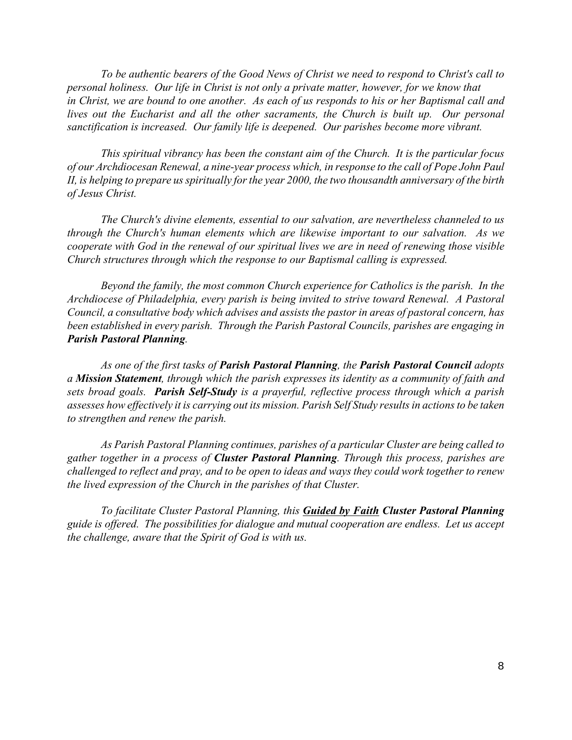*To be authentic bearers of the Good News of Christ we need to respond to Christ's call to personal holiness. Our life in Christ is not only a private matter, however, for we know that in Christ, we are bound to one another. As each of us responds to his or her Baptismal call and lives out the Eucharist and all the other sacraments, the Church is built up. Our personal sanctification is increased. Our family life is deepened. Our parishes become more vibrant.*

*This spiritual vibrancy has been the constant aim of the Church. It is the particular focus of our Archdiocesan Renewal, a nine-year process which, in response to the call of Pope John Paul II, is helping to prepare usspiritually forthe year 2000, the two thousandth anniversary of the birth of Jesus Christ.* 

*The Church's divine elements, essential to our salvation, are nevertheless channeled to us through the Church's human elements which are likewise important to our salvation. As we cooperate with God in the renewal of our spiritual lives we are in need of renewing those visible Church structures through which the response to our Baptismal calling is expressed.*

*Beyond the family, the most common Church experience for Catholics is the parish. In the Archdiocese of Philadelphia, every parish is being invited to strive toward Renewal. A Pastoral Council, a consultative body which advises and assists the pastor in areas of pastoral concern, has been established in every parish. Through the Parish Pastoral Councils, parishes are engaging in Parish Pastoral Planning.*

*As one of the first tasks of Parish Pastoral Planning, the Parish Pastoral Council adopts a Mission Statement, through which the parish expresses its identity as a community of faith and sets broad goals. Parish Self-Study is a prayerful, reflective process through which a parish assesses how effectively it is carrying out its mission. Parish Self Study resultsin actionsto be taken to strengthen and renew the parish.*

*As Parish Pastoral Planning continues, parishes of a particular Cluster are being called to gather together in a process of Cluster Pastoral Planning. Through this process, parishes are* challenged to reflect and pray, and to be open to ideas and ways they could work together to renew *the lived expression of the Church in the parishes of that Cluster.* 

*To facilitate Cluster Pastoral Planning, this Guided by Faith Cluster Pastoral Planning guide is offered. The possibilities for dialogue and mutual cooperation are endless. Let us accept the challenge, aware that the Spirit of God is with us.*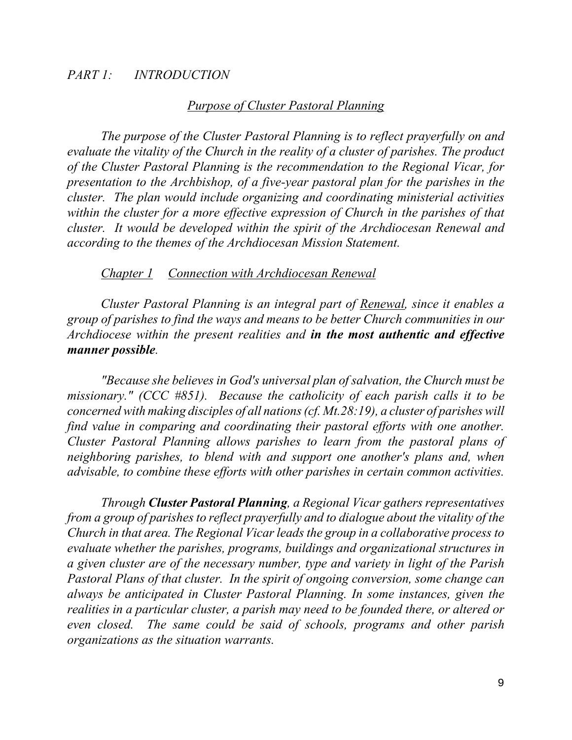## *PART 1: INTRODUCTION*

## *Purpose of Cluster Pastoral Planning*

*The purpose of the Cluster Pastoral Planning is to reflect prayerfully on and evaluate the vitality of the Church in the reality of a cluster of parishes. The product of the Cluster Pastoral Planning is the recommendation to the Regional Vicar, for presentation to the Archbishop, of a five-year pastoral plan for the parishes in the cluster. The plan would include organizing and coordinating ministerial activities within the cluster for a more effective expression of Church in the parishes of that cluster. It would be developed within the spirit of the Archdiocesan Renewal and according to the themes of the Archdiocesan Mission Statement.* 

## *Chapter 1 Connection with Archdiocesan Renewal*

*Cluster Pastoral Planning is an integral part of Renewal, since it enables a group of parishes to find the ways and means to be better Church communities in our Archdiocese within the present realities and in the most authentic and effective manner possible.*

*"Because she believes in God's universal plan of salvation, the Church must be missionary." (CCC #851). Because the catholicity of each parish calls it to be concerned with making disciples of all nations(cf. Mt.28:19), a cluster of parisheswill find value in comparing and coordinating their pastoral efforts with one another. Cluster Pastoral Planning allows parishes to learn from the pastoral plans of neighboring parishes, to blend with and support one another's plans and, when advisable, to combine these efforts with other parishes in certain common activities.*

*Through Cluster Pastoral Planning, a Regional Vicar gathers representatives from a group of parishes to reflect prayerfully and to dialogue about the vitality of the Church in that area. The Regional Vicar leads the group in a collaborative process to evaluate whether the parishes, programs, buildings and organizational structures in a given cluster are of the necessary number, type and variety in light of the Parish Pastoral Plans of that cluster. In the spirit of ongoing conversion, some change can always be anticipated in Cluster Pastoral Planning. In some instances, given the realities in a particular cluster, a parish may need to be founded there, or altered or even closed. The same could be said of schools, programs and other parish organizations as the situation warrants.*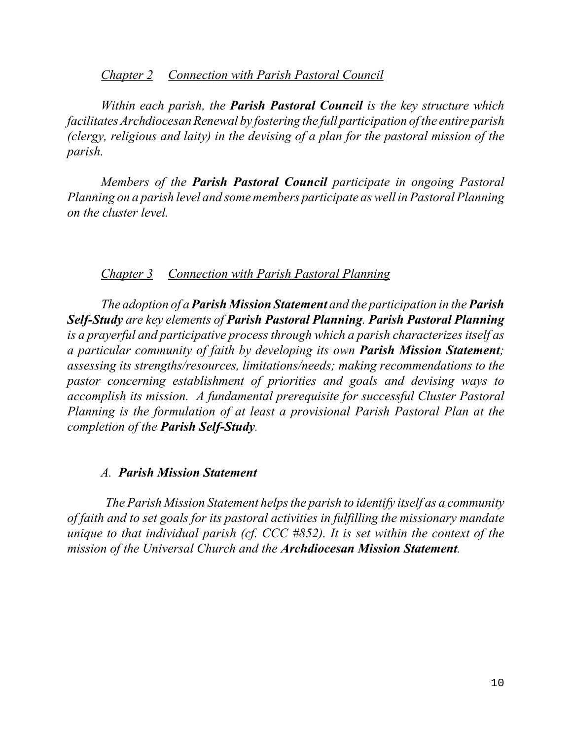## *Chapter 2 Connection with Parish Pastoral Council*

*Within each parish, the Parish Pastoral Council is the key structure which facilitates ArchdiocesanRenewal by fostering the full participation of the entire parish (clergy, religious and laity) in the devising of a plan for the pastoral mission of the parish.* 

*Members of the Parish Pastoral Council participate in ongoing Pastoral Planning on a parish level and some members participate aswell in Pastoral Planning on the cluster level.*

## *Chapter 3 Connection with Parish Pastoral Planning*

*The adoption of a Parish Mission Statement and the participation in the Parish Self-Study are key elements of Parish Pastoral Planning. Parish Pastoral Planning is a prayerful and participative process through which a parish characterizes itself as a particular community of faith by developing its own Parish Mission Statement; assessing its strengths/resources, limitations/needs; making recommendations to the pastor concerning establishment of priorities and goals and devising ways to accomplish its mission. A fundamental prerequisite for successful Cluster Pastoral Planning is the formulation of at least a provisional Parish Pastoral Plan at the completion of the Parish Self-Study.*

## *A. Parish Mission Statement*

 *The Parish Mission Statement helps the parish to identify itself as a community of faith and to set goals for its pastoral activities in fulfilling the missionary mandate unique to that individual parish (cf. CCC #852). It is set within the context of the mission of the Universal Church and the Archdiocesan Mission Statement.*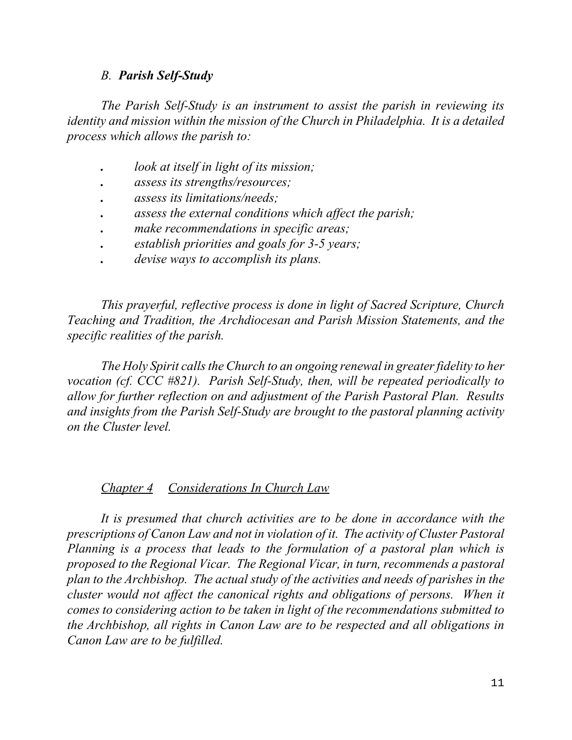## *B. Parish Self-Study*

*The Parish Self-Study is an instrument to assist the parish in reviewing its identity and mission within the mission of the Church in Philadelphia. It is a detailed process which allows the parish to:*

- *. look at itself in light of its mission;*
- *. assess its strengths/resources;*
- *. assess its limitations/needs;*
- *. assess the external conditions which affect the parish;*
- *. make recommendations in specific areas;*
- *. establish priorities and goals for 3-5 years;*
- *. devise ways to accomplish its plans.*

*This prayerful, reflective process is done in light of Sacred Scripture, Church Teaching and Tradition, the Archdiocesan and Parish Mission Statements, and the specific realities of the parish.*

*The Holy Spirit callsthe Church to an ongoing renewal in greaterfidelity to her vocation (cf. CCC #821). Parish Self-Study, then, will be repeated periodically to allow for further reflection on and adjustment of the Parish Pastoral Plan. Results and insights from the Parish Self-Study are brought to the pastoral planning activity on the Cluster level.*

## *Chapter 4 Considerations In Church Law*

*It is presumed that church activities are to be done in accordance with the prescriptions of Canon Law and not in violation of it. The activity of Cluster Pastoral Planning is a process that leads to the formulation of a pastoral plan which is proposed to the Regional Vicar. The Regional Vicar, in turn, recommends a pastoral plan to the Archbishop. The actual study of the activities and needs of parishes in the cluster would not affect the canonical rights and obligations of persons. When it comes to considering action to be taken in light of the recommendations submitted to the Archbishop, all rights in Canon Law are to be respected and all obligations in Canon Law are to be fulfilled.*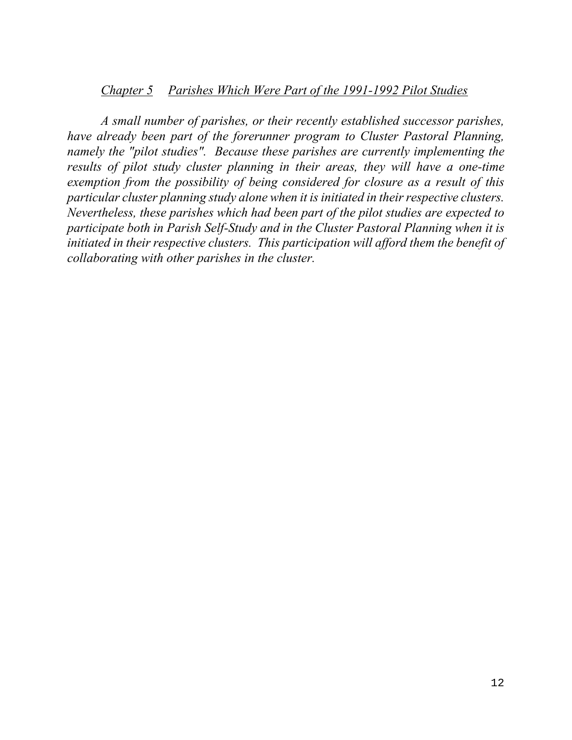## *Chapter 5 Parishes Which Were Part of the 1991-1992 Pilot Studies*

*A small number of parishes, or their recently established successor parishes, have already been part of the forerunner program to Cluster Pastoral Planning, namely the "pilot studies". Because these parishes are currently implementing the results of pilot study cluster planning in their areas, they will have a one-time exemption from the possibility of being considered for closure as a result of this particular cluster planning study alone when it is initiated in theirrespective clusters. Nevertheless, these parishes which had been part of the pilot studies are expected to participate both in Parish Self-Study and in the Cluster Pastoral Planning when it is initiated in their respective clusters. This participation will afford them the benefit of collaborating with other parishes in the cluster.*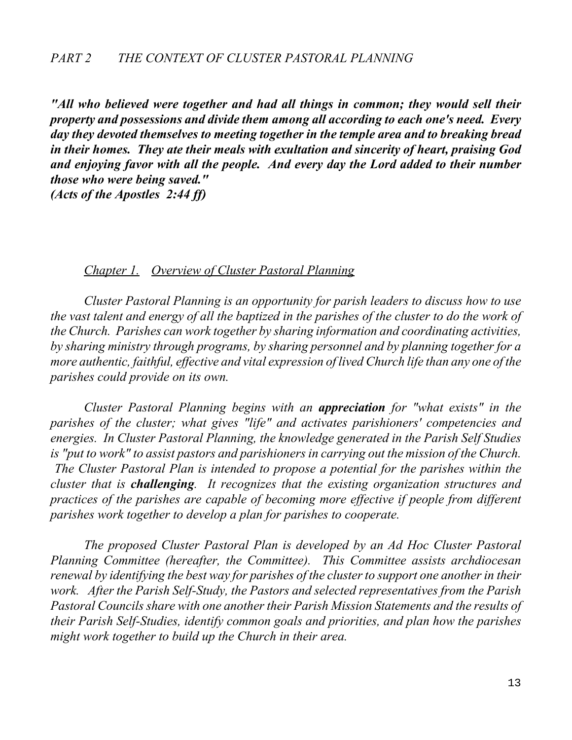*"All who believed were together and had all things in common; they would sell their property and possessions and divide them among all according to each one's need. Every day they devoted themselves to meeting together in the temple area and to breaking bread in their homes. They ate their meals with exultation and sincerity of heart, praising God and enjoying favor with all the people. And every day the Lord added to their number those who were being saved." (Acts of the Apostles 2:44 ff)*

#### *Chapter 1. Overview of Cluster Pastoral Planning*

*Cluster Pastoral Planning is an opportunity for parish leaders to discuss how to use the vast talent and energy of all the baptized in the parishes of the cluster to do the work of the Church. Parishes can work together by sharing information and coordinating activities, by sharing ministry through programs, by sharing personnel and by planning together for a more authentic, faithful, effective and vital expression of lived Church life than any one of the parishes could provide on its own.* 

*Cluster Pastoral Planning begins with an appreciation for "what exists" in the parishes of the cluster; what gives "life" and activates parishioners' competencies and energies. In Cluster Pastoral Planning, the knowledge generated in the Parish Self Studies is "put to work" to assist pastors and parishioners in carrying out the mission of the Church. The Cluster Pastoral Plan is intended to propose a potential for the parishes within the cluster that is challenging. It recognizes that the existing organization structures and practices of the parishes are capable of becoming more effective if people from different parishes work together to develop a plan for parishes to cooperate.*

*The proposed Cluster Pastoral Plan is developed by an Ad Hoc Cluster Pastoral Planning Committee (hereafter, the Committee). This Committee assists archdiocesan renewal by identifying the best way for parishes of the clusterto support one another in their work. After the Parish Self-Study, the Pastors and selected representatives from the Parish Pastoral Councils share with one another their Parish Mission Statements and the results of their Parish Self-Studies, identify common goals and priorities, and plan how the parishes might work together to build up the Church in their area.*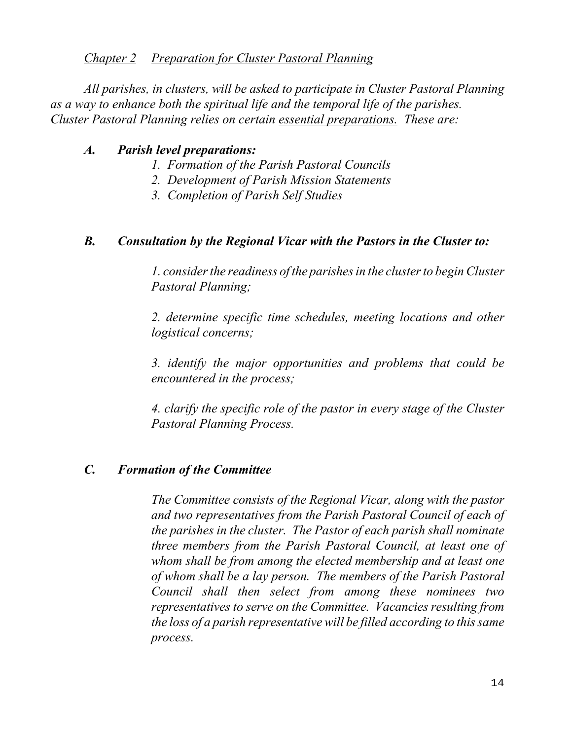## *Chapter 2 Preparation for Cluster Pastoral Planning*

*All parishes, in clusters, will be asked to participate in Cluster Pastoral Planning as a way to enhance both the spiritual life and the temporal life of the parishes. Cluster Pastoral Planning relies on certain essential preparations. These are:*

## *A. Parish level preparations:*

- *1. Formation of the Parish Pastoral Councils*
- *2. Development of Parish Mission Statements*
- *3. Completion of Parish Self Studies*

# *B. Consultation by the Regional Vicar with the Pastors in the Cluster to:*

*1. considerthe readiness of the parishesin the clusterto beginCluster Pastoral Planning;*

*2. determine specific time schedules, meeting locations and other logistical concerns;*

*3. identify the major opportunities and problems that could be encountered in the process;*

*4. clarify the specific role of the pastor in every stage of the Cluster Pastoral Planning Process.*

# *C. Formation of the Committee*

*The Committee consists of the Regional Vicar, along with the pastor and two representatives from the Parish Pastoral Council of each of the parishes in the cluster. The Pastor of each parish shall nominate three members from the Parish Pastoral Council, at least one of whom shall be from among the elected membership and at least one of whom shall be a lay person. The members of the Parish Pastoral Council shall then select from among these nominees two representatives to serve on the Committee. Vacancies resulting from the loss of a parish representative will be filled according to thissame process.*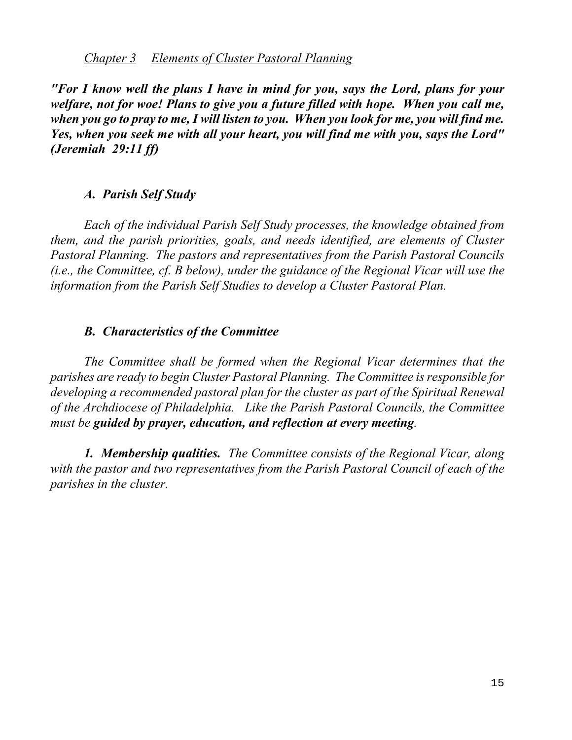## *Chapter 3 Elements of Cluster Pastoral Planning*

*"For I know well the plans I have in mind for you, says the Lord, plans for your welfare, not for woe! Plans to give you a future filled with hope. When you call me, when you go to pray to me, I will listen to you. When you look for me, you will find me. Yes, when you seek me with all your heart, you will find me with you, says the Lord" (Jeremiah 29:11 ff)*

## *A. Parish Self Study*

*Each of the individual Parish Self Study processes, the knowledge obtained from them, and the parish priorities, goals, and needs identified, are elements of Cluster Pastoral Planning. The pastors and representatives from the Parish Pastoral Councils (i.e., the Committee, cf. B below), under the guidance of the Regional Vicar will use the information from the Parish Self Studies to develop a Cluster Pastoral Plan.* 

## *B. Characteristics of the Committee*

*The Committee shall be formed when the Regional Vicar determines that the parishes are ready to begin Cluster Pastoral Planning. The Committee is responsible for developing a recommended pastoral plan for the cluster as part of the Spiritual Renewal of the Archdiocese of Philadelphia. Like the Parish Pastoral Councils, the Committee must be guided by prayer, education, and reflection at every meeting.*

*1. Membership qualities. The Committee consists of the Regional Vicar, along with the pastor and two representatives from the Parish Pastoral Council of each of the parishes in the cluster.*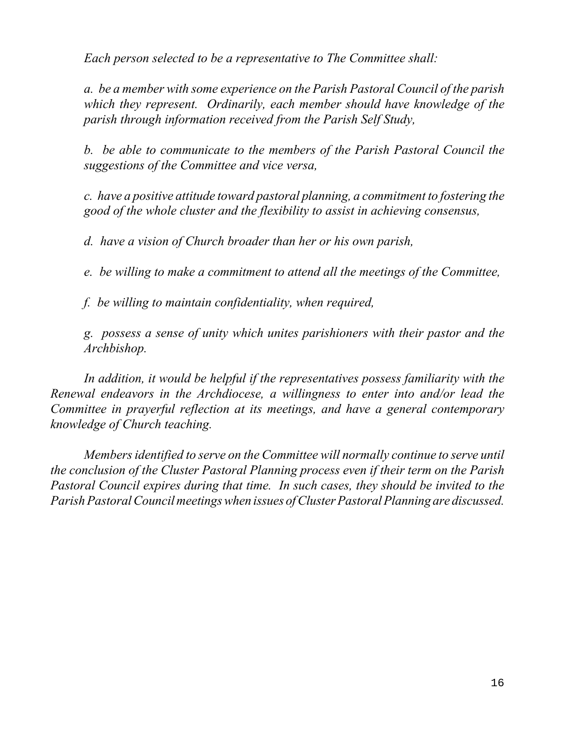*Each person selected to be a representative to The Committee shall:*

*a. be a member with some experience on the Parish Pastoral Council of the parish which they represent. Ordinarily, each member should have knowledge of the parish through information received from the Parish Self Study,*

*b. be able to communicate to the members of the Parish Pastoral Council the suggestions of the Committee and vice versa,*

*c. have a positive attitude toward pastoral planning, a commitment to fostering the good of the whole cluster and the flexibility to assist in achieving consensus,*

*d. have a vision of Church broader than her or his own parish,*

*e. be willing to make a commitment to attend all the meetings of the Committee,*

*f. be willing to maintain confidentiality, when required,*

*g. possess a sense of unity which unites parishioners with their pastor and the Archbishop.*

*In addition, it would be helpful if the representatives possess familiarity with the Renewal endeavors in the Archdiocese, a willingness to enter into and/or lead the Committee in prayerful reflection at its meetings, and have a general contemporary knowledge of Church teaching.*

*Membersidentified to serve on the Committee will normally continue to serve until the conclusion of the Cluster Pastoral Planning process even if their term on the Parish Pastoral Council expires during that time. In such cases, they should be invited to the ParishPastoralCouncil meetings when issues of Cluster Pastoral Planning are discussed.*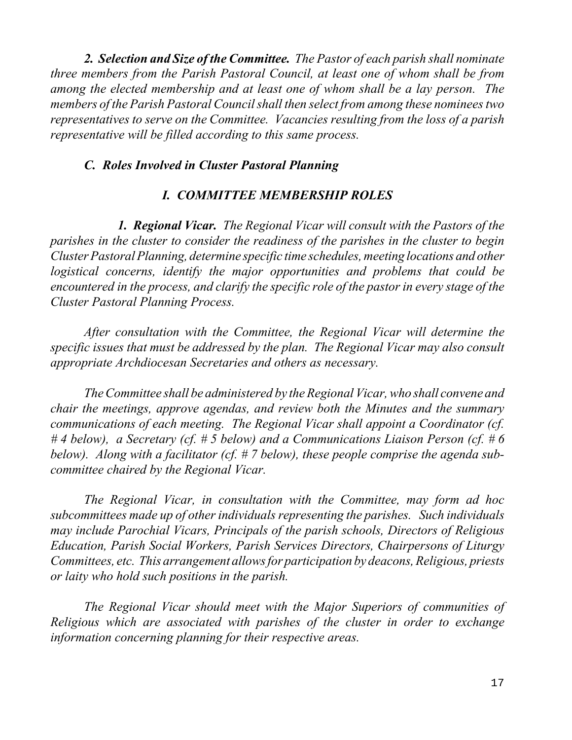*2. Selection and Size of the Committee. The Pastor of each parish shall nominate three members from the Parish Pastoral Council, at least one of whom shall be from among the elected membership and at least one of whom shall be a lay person. The members of the Parish Pastoral Councilshall then select from among these nomineestwo representatives to serve on the Committee. Vacancies resulting from the loss of a parish representative will be filled according to this same process.*

## *C. Roles Involved in Cluster Pastoral Planning*

## *I. COMMITTEE MEMBERSHIP ROLES*

*1. Regional Vicar. The Regional Vicar will consult with the Pastors of the parishes in the cluster to consider the readiness of the parishes in the cluster to begin ClusterPastoral Planning, determine specific time schedules, meeting locations and other logistical concerns, identify the major opportunities and problems that could be encountered in the process, and clarify the specific role of the pastor in every stage of the Cluster Pastoral Planning Process.*

*After consultation with the Committee, the Regional Vicar will determine the specific issues that must be addressed by the plan. The Regional Vicar may also consult appropriate Archdiocesan Secretaries and others as necessary.*

*TheCommittee shall be administered by theRegional Vicar,who shall convene and chair the meetings, approve agendas, and review both the Minutes and the summary communications of each meeting. The Regional Vicar shall appoint a Coordinator (cf. # 4 below), a Secretary (cf. # 5 below) and a Communications Liaison Person (cf. # 6 below). Along with a facilitator (cf. # 7 below), these people comprise the agenda subcommittee chaired by the Regional Vicar.*

*The Regional Vicar, in consultation with the Committee, may form ad hoc subcommittees made up of other individuals representing the parishes. Such individuals may include Parochial Vicars, Principals of the parish schools, Directors of Religious Education, Parish Social Workers, Parish Services Directors, Chairpersons of Liturgy Committees, etc. This arrangement allows for participation by deacons, Religious, priests or laity who hold such positions in the parish.*

*The Regional Vicar should meet with the Major Superiors of communities of Religious which are associated with parishes of the cluster in order to exchange information concerning planning for their respective areas.*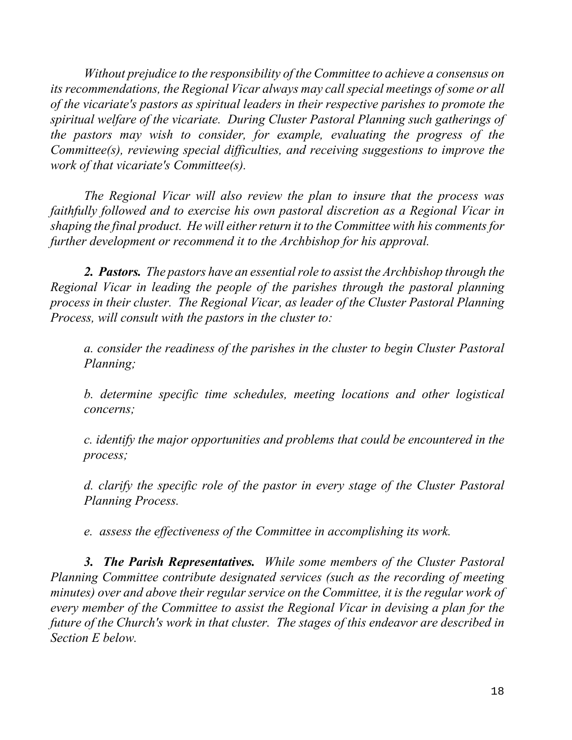*Without prejudice to the responsibility of the Committee to achieve a consensus on its recommendations, the Regional Vicar always may callspecial meetings of some or all of the vicariate's pastors as spiritual leaders in their respective parishes to promote the spiritual welfare of the vicariate. During Cluster Pastoral Planning such gatherings of the pastors may wish to consider, for example, evaluating the progress of the Committee(s), reviewing special difficulties, and receiving suggestions to improve the work of that vicariate's Committee(s).*

*The Regional Vicar will also review the plan to insure that the process was faithfully followed and to exercise his own pastoral discretion as a Regional Vicar in shaping the final product. He will either return it to the Committee with his comments for further development or recommend it to the Archbishop for his approval.*

*2. Pastors. The pastors have an essentialrole to assist the Archbishop through the Regional Vicar in leading the people of the parishes through the pastoral planning process in their cluster. The Regional Vicar, as leader of the Cluster Pastoral Planning Process, will consult with the pastors in the cluster to:*

*a. consider the readiness of the parishes in the cluster to begin Cluster Pastoral Planning;*

*b. determine specific time schedules, meeting locations and other logistical concerns;*

*c. identify the major opportunities and problems that could be encountered in the process;*

*d. clarify the specific role of the pastor in every stage of the Cluster Pastoral Planning Process.*

*e. assess the effectiveness of the Committee in accomplishing its work.*

*3. The Parish Representatives. While some members of the Cluster Pastoral Planning Committee contribute designated services (such as the recording of meeting minutes) over and above their regular service on the Committee, it is the regular work of every member of the Committee to assist the Regional Vicar in devising a plan for the future of the Church's work in that cluster. The stages of this endeavor are described in Section E below.*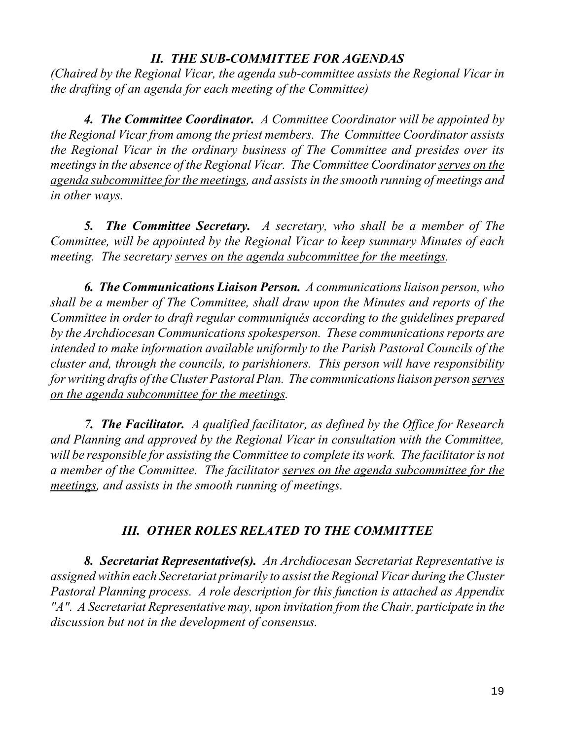# *II. THE SUB-COMMITTEE FOR AGENDAS*

*(Chaired by the Regional Vicar, the agenda sub-committee assists the Regional Vicar in the drafting of an agenda for each meeting of the Committee)*

*4. The Committee Coordinator. A Committee Coordinator will be appointed by the Regional Vicarfrom among the priest members. The Committee Coordinator assists the Regional Vicar in the ordinary business of The Committee and presides over its meetingsin the absence of the Regional Vicar. The Committee Coordinatorserves on the agenda subcommittee forthe meetings, and assistsin the smooth running of meetings and in other ways.*

*5. The Committee Secretary. A secretary, who shall be a member of The Committee, will be appointed by the Regional Vicar to keep summary Minutes of each meeting. The secretary serves on the agenda subcommittee for the meetings.*

*6. The Communications Liaison Person. A communications liaison person, who shall be a member of The Committee, shall draw upon the Minutes and reports of the Committee in order to draft regular communiqués according to the guidelines prepared by the Archdiocesan Communications spokesperson. These communications reports are intended to make information available uniformly to the Parish Pastoral Councils of the cluster and, through the councils, to parishioners. This person will have responsibility forwriting drafts of theCluster Pastoral Plan. The communications liaison person serves on the agenda subcommittee for the meetings.*

*7. The Facilitator. A qualified facilitator, as defined by the Office for Research and Planning and approved by the Regional Vicar in consultation with the Committee, will be responsible for assisting the Committee to complete its work. The facilitator is not a member of the Committee. The facilitator serves on the agenda subcommittee for the meetings, and assists in the smooth running of meetings.*

# *III. OTHER ROLES RELATED TO THE COMMITTEE*

*8. Secretariat Representative(s). An Archdiocesan Secretariat Representative is assigned within each Secretariat primarily to assist the Regional Vicar during theCluster Pastoral Planning process. A role description for this function is attached as Appendix "A". A Secretariat Representative may, upon invitation from the Chair, participate in the discussion but not in the development of consensus.*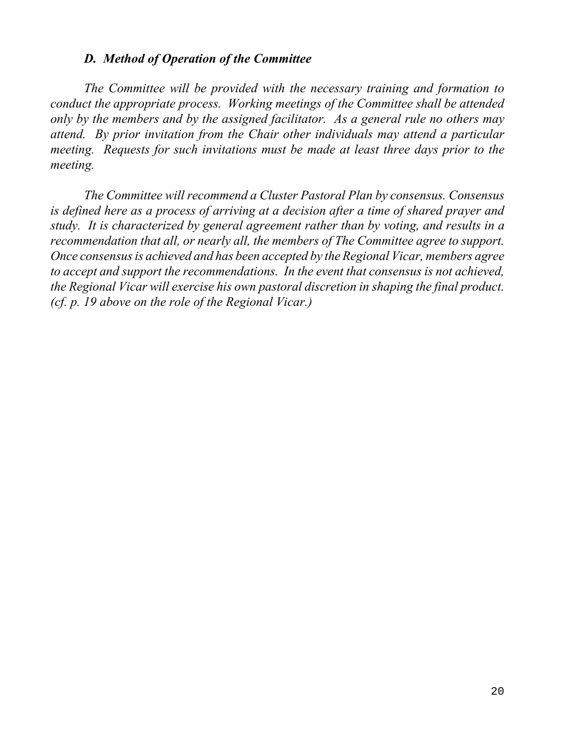## *D. Method of Operation of the Committee*

*The Committee will be provided with the necessary training and formation to conduct the appropriate process. Working meetings of the Committee shall be attended only by the members and by the assigned facilitator. As a general rule no others may attend. By prior invitation from the Chair other individuals may attend a particular meeting. Requests for such invitations must be made at least three days prior to the meeting.* 

*The Committee will recommend a Cluster Pastoral Plan by consensus. Consensus is defined here as a process of arriving at a decision after a time of shared prayer and study. It is characterized by general agreement rather than by voting, and results in a recommendation that all, or nearly all, the members of The Committee agree to support. Once consensusis achieved and has been accepted by the Regional Vicar, members agree to accept and support the recommendations. In the event that consensus is not achieved, the Regional Vicar will exercise his own pastoral discretion in shaping the final product. (cf. p. 19 above on the role of the Regional Vicar.)*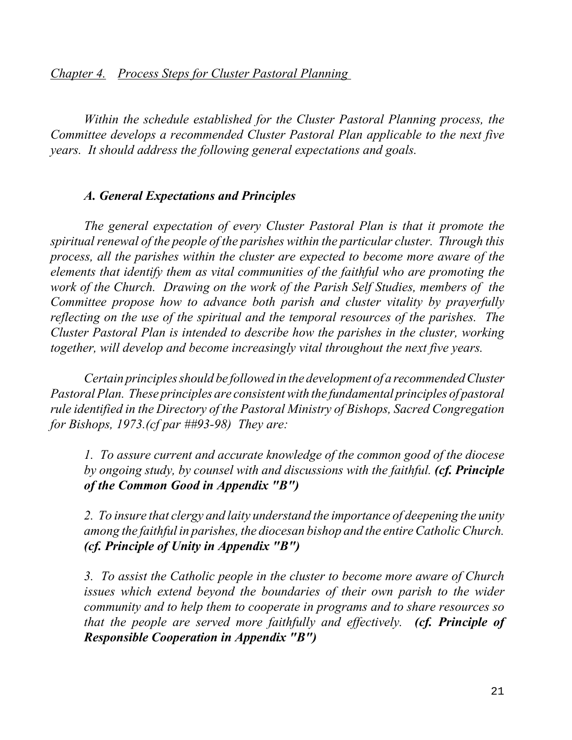*Chapter 4. Process Steps for Cluster Pastoral Planning* 

*Within the schedule established for the Cluster Pastoral Planning process, the Committee develops a recommended Cluster Pastoral Plan applicable to the next five years. It should address the following general expectations and goals.* 

## *A. General Expectations and Principles*

*The general expectation of every Cluster Pastoral Plan is that it promote the spiritual renewal of the people of the parishes within the particular cluster. Through this process, all the parishes within the cluster are expected to become more aware of the elements that identify them as vital communities of the faithful who are promoting the work of the Church. Drawing on the work of the Parish Self Studies, members of the Committee propose how to advance both parish and cluster vitality by prayerfully reflecting on the use of the spiritual and the temporal resources of the parishes. The Cluster Pastoral Plan is intended to describe how the parishes in the cluster, working together, will develop and become increasingly vital throughout the next five years.*

*Certain principlesshould be followed in the development of a recommended Cluster PastoralPlan. These principles are consistent with the fundamental principles of pastoral rule identified in the Directory of the Pastoral Ministry of Bishops, Sacred Congregation for Bishops, 1973.(cf par ##93-98) They are:*

*1. To assure current and accurate knowledge of the common good of the diocese by ongoing study, by counsel with and discussions with the faithful. (cf. Principle of the Common Good in Appendix "B")*

*2. To insure that clergy and laity understand the importance of deepening the unity among the faithful in parishes, the diocesan bishop and the entireCatholicChurch. (cf. Principle of Unity in Appendix "B")*

*3. To assist the Catholic people in the cluster to become more aware of Church issues which extend beyond the boundaries of their own parish to the wider community and to help them to cooperate in programs and to share resources so that the people are served more faithfully and effectively. (cf. Principle of Responsible Cooperation in Appendix "B")*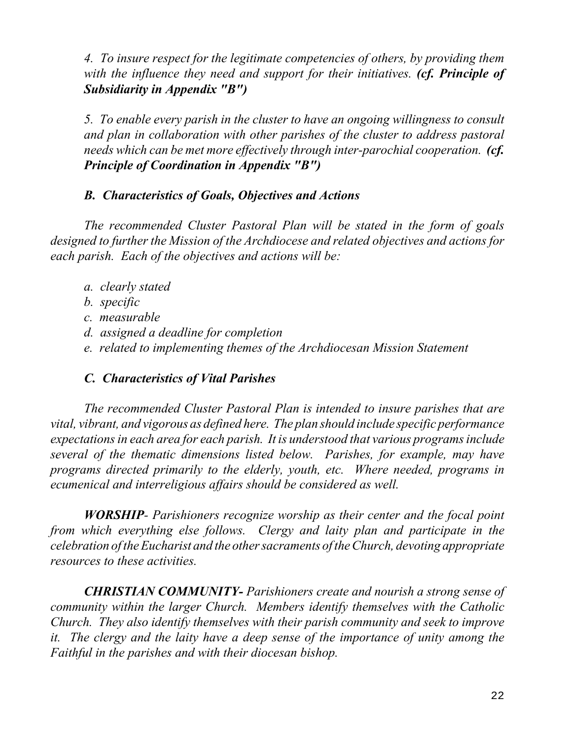*4. To insure respect for the legitimate competencies of others, by providing them with the influence they need and support for their initiatives. (cf. Principle of Subsidiarity in Appendix "B")*

*5. To enable every parish in the cluster to have an ongoing willingness to consult and plan in collaboration with other parishes of the cluster to address pastoral needs which can be met more effectively through inter-parochial cooperation. (cf. Principle of Coordination in Appendix "B")*

# *B. Characteristics of Goals, Objectives and Actions*

*The recommended Cluster Pastoral Plan will be stated in the form of goals designed to further the Mission of the Archdiocese and related objectives and actions for each parish. Each of the objectives and actions will be:*

- *a. clearly stated*
- *b. specific*
- *c. measurable*
- *d. assigned a deadline for completion*
- *e. related to implementing themes of the Archdiocesan Mission Statement*

# *C. Characteristics of Vital Parishes*

*The recommended Cluster Pastoral Plan is intended to insure parishes that are vital, vibrant, and vigorous as defined here. The plan should include specific performance expectationsin each area for each parish. It is understood that various programs include several of the thematic dimensions listed below. Parishes, for example, may have programs directed primarily to the elderly, youth, etc. Where needed, programs in ecumenical and interreligious affairs should be considered as well.*

*WORSHIP- Parishioners recognize worship as their center and the focal point from which everything else follows. Clergy and laity plan and participate in the celebration of the Eucharist and the other sacraments of the Church, devoting appropriate resources to these activities.*

*CHRISTIAN COMMUNITY- Parishioners create and nourish a strong sense of community within the larger Church. Members identify themselves with the Catholic Church. They also identify themselves with their parish community and seek to improve it. The clergy and the laity have a deep sense of the importance of unity among the Faithful in the parishes and with their diocesan bishop.*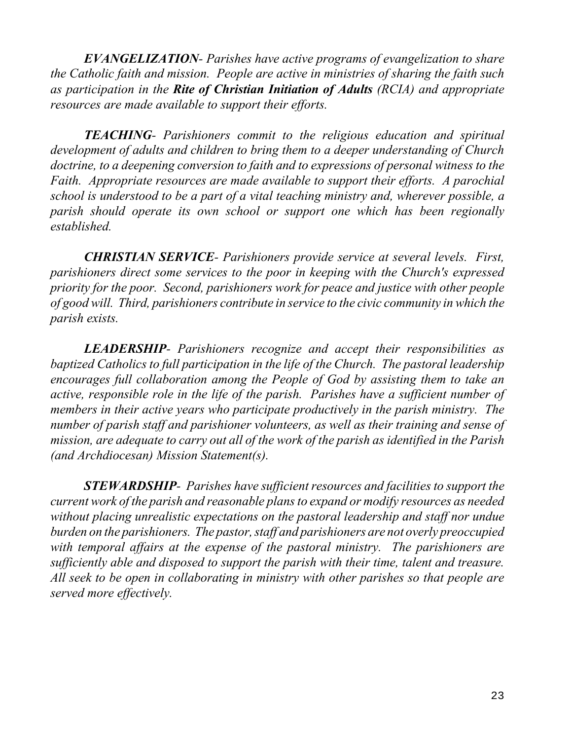*EVANGELIZATION- Parishes have active programs of evangelization to share the Catholic faith and mission. People are active in ministries of sharing the faith such as participation in the Rite of Christian Initiation of Adults (RCIA) and appropriate resources are made available to support their efforts.*

*TEACHING- Parishioners commit to the religious education and spiritual development of adults and children to bring them to a deeper understanding of Church doctrine, to a deepening conversion to faith and to expressions of personal witness to the Faith. Appropriate resources are made available to support their efforts. A parochial school is understood to be a part of a vital teaching ministry and, wherever possible, a parish should operate its own school or support one which has been regionally established.*

*CHRISTIAN SERVICE- Parishioners provide service at several levels. First, parishioners direct some services to the poor in keeping with the Church's expressed priority for the poor. Second, parishioners work for peace and justice with other people of good will. Third, parishioners contribute in service to the civic community in which the parish exists.*

*LEADERSHIP- Parishioners recognize and accept their responsibilities as baptized Catholics to full participation in the life of the Church. The pastoral leadership encourages full collaboration among the People of God by assisting them to take an active, responsible role in the life of the parish. Parishes have a sufficient number of members in their active years who participate productively in the parish ministry. The number of parish staff and parishioner volunteers, as well as their training and sense of mission, are adequate to carry out all of the work of the parish as identified in the Parish (and Archdiocesan) Mission Statement(s).*

*STEWARDSHIP- Parishes have sufficient resources and facilities to support the current work of the parish and reasonable plansto expand or modify resources as needed without placing unrealistic expectations on the pastoral leadership and staff nor undue burden on the parishioners. The pastor, staff and parishioners are not overly preoccupied with temporal affairs at the expense of the pastoral ministry. The parishioners are sufficiently able and disposed to support the parish with their time, talent and treasure. All seek to be open in collaborating in ministry with other parishes so that people are served more effectively.*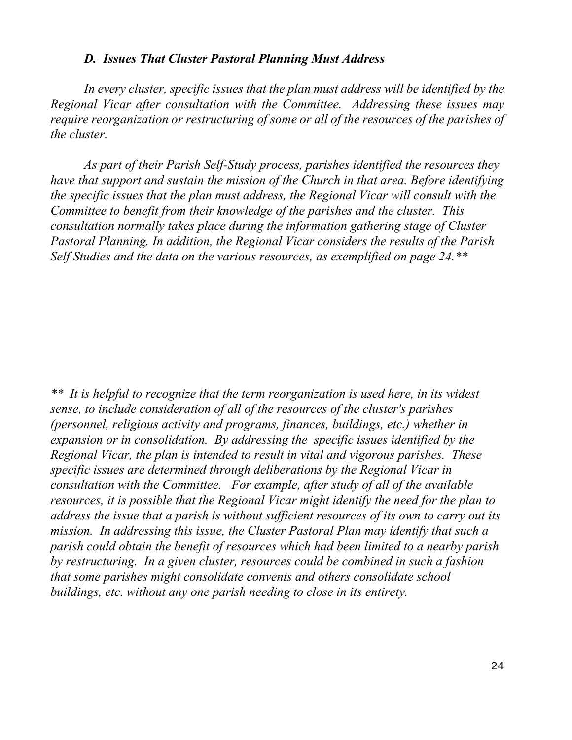## *D. Issues That Cluster Pastoral Planning Must Address*

*In every cluster, specific issues that the plan must address will be identified by the Regional Vicar after consultation with the Committee. Addressing these issues may require reorganization or restructuring of some or all of the resources of the parishes of the cluster.*

*As part of their Parish Self-Study process, parishes identified the resources they have that support and sustain the mission of the Church in that area. Before identifying the specific issues that the plan must address, the Regional Vicar will consult with the Committee to benefit from their knowledge of the parishes and the cluster. This consultation normally takes place during the information gathering stage of Cluster Pastoral Planning. In addition, the Regional Vicar considers the results of the Parish Self Studies and the data on the various resources, as exemplified on page 24.\*\** 

*\*\* It is helpful to recognize that the term reorganization is used here, in its widest sense, to include consideration of all of the resources of the cluster's parishes (personnel, religious activity and programs, finances, buildings, etc.) whether in expansion or in consolidation. By addressing the specific issues identified by the Regional Vicar, the plan is intended to result in vital and vigorous parishes. These specific issues are determined through deliberations by the Regional Vicar in consultation with the Committee. For example, after study of all of the available resources, it is possible that the Regional Vicar might identify the need for the plan to address the issue that a parish is without sufficient resources of its own to carry out its mission. In addressing this issue, the Cluster Pastoral Plan may identify that such a parish could obtain the benefit of resources which had been limited to a nearby parish by restructuring. In a given cluster, resources could be combined in such a fashion that some parishes might consolidate convents and others consolidate school buildings, etc. without any one parish needing to close in its entirety.*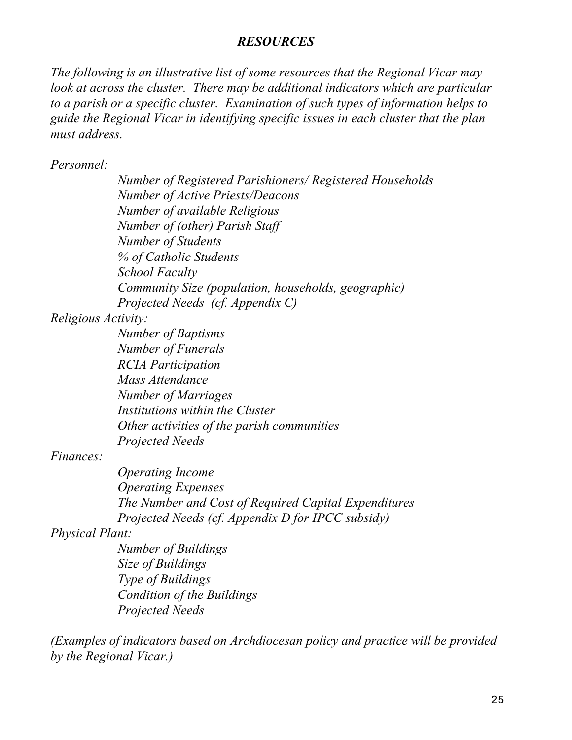## *RESOURCES*

*The following is an illustrative list of some resources that the Regional Vicar may look at across the cluster. There may be additional indicators which are particular to a parish or a specific cluster. Examination of such types of information helps to guide the Regional Vicar in identifying specific issues in each cluster that the plan must address.*

*Personnel:*

*Number of Registered Parishioners/ Registered Households Number of Active Priests/Deacons Number of available Religious Number of (other) Parish Staff Number of Students % of Catholic Students School Faculty Community Size (population, households, geographic) Projected Needs (cf. Appendix C)*

*Religious Activity:*

*Number of Baptisms Number of Funerals RCIA Participation Mass Attendance Number of Marriages Institutions within the Cluster Other activities of the parish communities Projected Needs*

*Finances:*

*Operating Income Operating Expenses The Number and Cost of Required Capital Expenditures Projected Needs (cf. Appendix D for IPCC subsidy)* 

*Physical Plant:* 

*Number of Buildings Size of Buildings Type of Buildings Condition of the Buildings Projected Needs*

*(Examples of indicators based on Archdiocesan policy and practice will be provided by the Regional Vicar.)*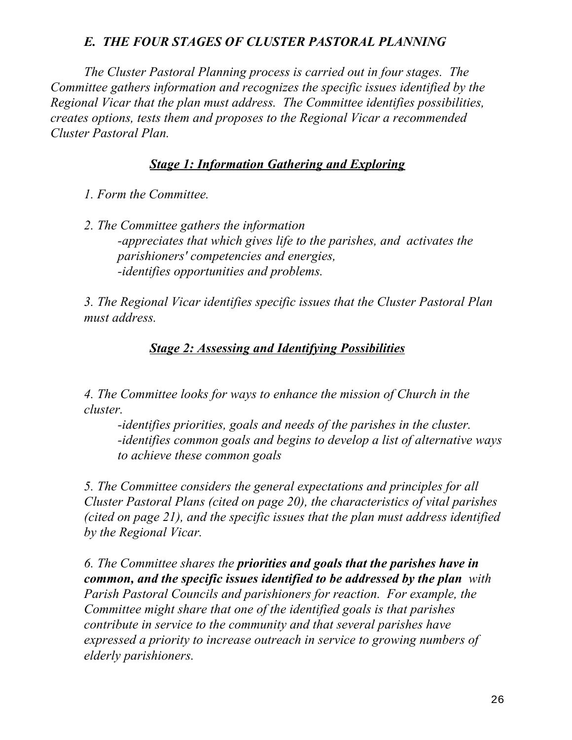# *E. THE FOUR STAGES OF CLUSTER PASTORAL PLANNING*

*The Cluster Pastoral Planning process is carried out in four stages. The Committee gathers information and recognizes the specific issues identified by the Regional Vicar that the plan must address. The Committee identifies possibilities, creates options, tests them and proposes to the Regional Vicar a recommended Cluster Pastoral Plan.*

# *Stage 1: Information Gathering and Exploring*

- *1. Form the Committee.*
- *2. The Committee gathers the information -appreciates that which gives life to the parishes, and activates the parishioners' competencies and energies, -identifies opportunities and problems.*

*3. The Regional Vicar identifies specific issues that the Cluster Pastoral Plan must address.*

# *Stage 2: Assessing and Identifying Possibilities*

*4. The Committee looks for ways to enhance the mission of Church in the cluster.* 

*-identifies priorities, goals and needs of the parishes in the cluster. -identifies common goals and begins to develop a list of alternative ways to achieve these common goals*

*5. The Committee considers the general expectations and principles for all Cluster Pastoral Plans (cited on page 20), the characteristics of vital parishes (cited on page 21), and the specific issues that the plan must address identified by the Regional Vicar.* 

*6. The Committee shares the priorities and goals that the parishes have in common, and the specific issues identified to be addressed by the plan with Parish Pastoral Councils and parishioners for reaction. For example, the Committee might share that one of the identified goals is that parishes contribute in service to the community and that several parishes have expressed a priority to increase outreach in service to growing numbers of elderly parishioners.*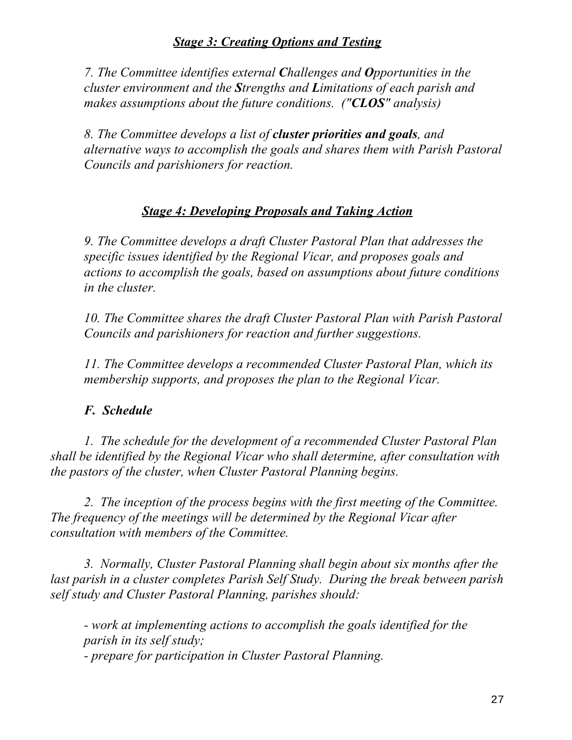# *Stage 3: Creating Options and Testing*

*7. The Committee identifies external Challenges and Opportunities in the cluster environment and the Strengths and Limitations of each parish and makes assumptions about the future conditions. ("CLOS" analysis)*

*8. The Committee develops a list of cluster priorities and goals, and alternative ways to accomplish the goals and shares them with Parish Pastoral Councils and parishioners for reaction.*

## *Stage 4: Developing Proposals and Taking Action*

*9. The Committee develops a draft Cluster Pastoral Plan that addresses the specific issues identified by the Regional Vicar, and proposes goals and actions to accomplish the goals, based on assumptions about future conditions in the cluster.*

*10. The Committee shares the draft Cluster Pastoral Plan with Parish Pastoral Councils and parishioners for reaction and further suggestions.* 

*11. The Committee develops a recommended Cluster Pastoral Plan, which its membership supports, and proposes the plan to the Regional Vicar.* 

## *F. Schedule*

*1. The schedule for the development of a recommended Cluster Pastoral Plan shall be identified by the Regional Vicar who shall determine, after consultation with the pastors of the cluster, when Cluster Pastoral Planning begins.*

*2. The inception of the process begins with the first meeting of the Committee. The frequency of the meetings will be determined by the Regional Vicar after consultation with members of the Committee.*

*3. Normally, Cluster Pastoral Planning shall begin about six months after the last parish in a cluster completes Parish Self Study. During the break between parish self study and Cluster Pastoral Planning, parishes should:*

*- work at implementing actions to accomplish the goals identified for the parish in its self study; - prepare for participation in Cluster Pastoral Planning.*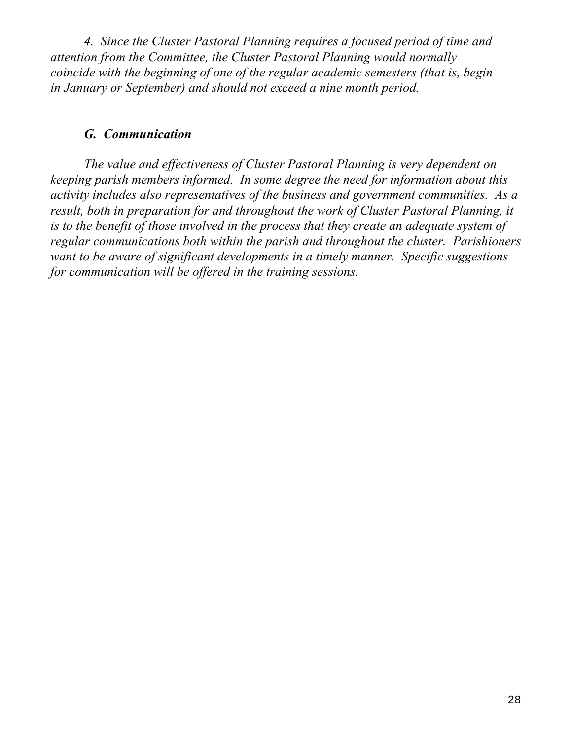*4. Since the Cluster Pastoral Planning requires a focused period of time and attention from the Committee, the Cluster Pastoral Planning would normally coincide with the beginning of one of the regular academic semesters (that is, begin in January or September) and should not exceed a nine month period.*

## *G. Communication*

*The value and effectiveness of Cluster Pastoral Planning is very dependent on keeping parish members informed. In some degree the need for information about this activity includes also representatives of the business and government communities. As a result, both in preparation for and throughout the work of Cluster Pastoral Planning, it is to the benefit of those involved in the process that they create an adequate system of regular communications both within the parish and throughout the cluster. Parishioners want to be aware of significant developments in a timely manner. Specific suggestions for communication will be offered in the training sessions.*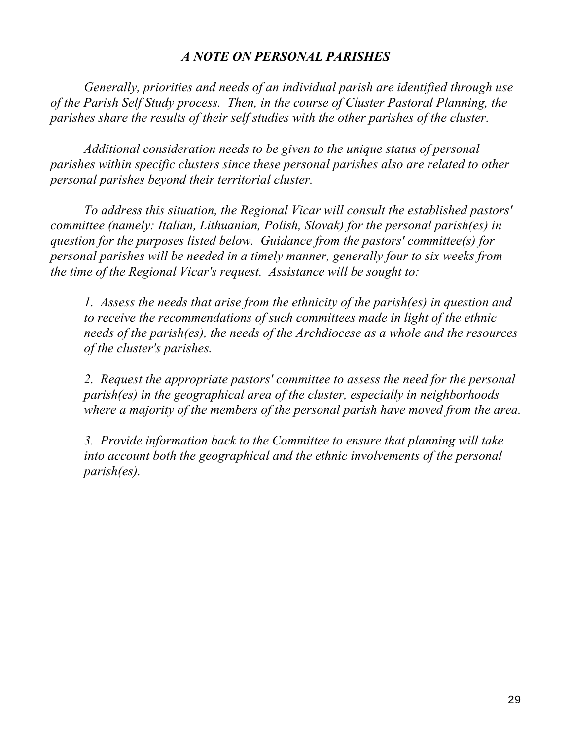## *A NOTE ON PERSONAL PARISHES*

*Generally, priorities and needs of an individual parish are identified through use of the Parish Self Study process. Then, in the course of Cluster Pastoral Planning, the parishes share the results of their self studies with the other parishes of the cluster.* 

*Additional consideration needs to be given to the unique status of personal parishes within specific clusters since these personal parishes also are related to other personal parishes beyond their territorial cluster.*

*To address this situation, the Regional Vicar will consult the established pastors' committee (namely: Italian, Lithuanian, Polish, Slovak) for the personal parish(es) in question for the purposes listed below. Guidance from the pastors' committee(s) for personal parishes will be needed in a timely manner, generally four to six weeks from the time of the Regional Vicar's request. Assistance will be sought to:*

*1. Assess the needs that arise from the ethnicity of the parish(es) in question and to receive the recommendations of such committees made in light of the ethnic needs of the parish(es), the needs of the Archdiocese as a whole and the resources of the cluster's parishes.* 

*2. Request the appropriate pastors' committee to assess the need for the personal parish(es) in the geographical area of the cluster, especially in neighborhoods where a majority of the members of the personal parish have moved from the area.*

*3. Provide information back to the Committee to ensure that planning will take into account both the geographical and the ethnic involvements of the personal parish(es).*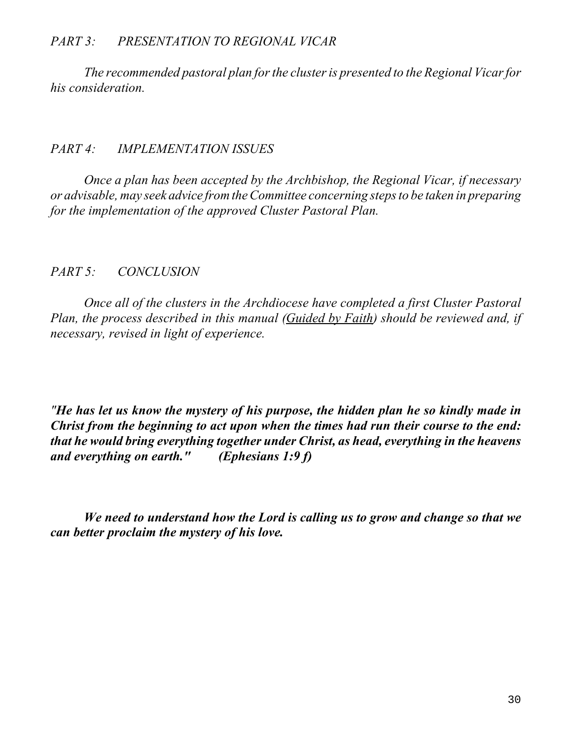## *PART 3: PRESENTATION TO REGIONAL VICAR*

*The recommended pastoral plan forthe clusteris presented to the Regional Vicarfor his consideration.*

#### *PART 4: IMPLEMENTATION ISSUES*

*Once a plan has been accepted by the Archbishop, the Regional Vicar, if necessary or advisable, may seek advice fromtheCommittee concerning stepsto be taken in preparing for the implementation of the approved Cluster Pastoral Plan.*

## *PART 5: CONCLUSION*

*Once all of the clusters in the Archdiocese have completed a first Cluster Pastoral Plan, the process described in this manual (Guided by Faith) should be reviewed and, if necessary, revised in light of experience.*

*"He has let us know the mystery of his purpose, the hidden plan he so kindly made in Christ from the beginning to act upon when the times had run their course to the end: that he would bring everything together under Christ, as head, everything in the heavens and everything on earth." (Ephesians 1:9 f)*

*We need to understand how the Lord is calling us to grow and change so that we can better proclaim the mystery of his love.*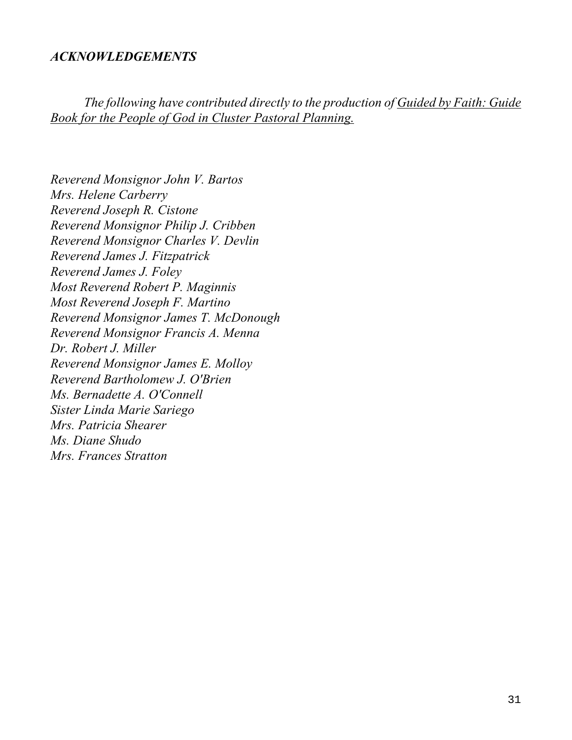## *ACKNOWLEDGEMENTS*

*The following have contributed directly to the production of Guided by Faith: Guide Book for the People of God in Cluster Pastoral Planning.*

*Reverend Monsignor John V. Bartos Mrs. Helene Carberry Reverend Joseph R. Cistone Reverend Monsignor Philip J. Cribben Reverend Monsignor Charles V. Devlin Reverend James J. Fitzpatrick Reverend James J. Foley Most Reverend Robert P. Maginnis Most Reverend Joseph F. Martino Reverend Monsignor James T. McDonough Reverend Monsignor Francis A. Menna Dr. Robert J. Miller Reverend Monsignor James E. Molloy Reverend Bartholomew J. O'Brien Ms. Bernadette A. O'Connell Sister Linda Marie Sariego Mrs. Patricia Shearer Ms. Diane Shudo Mrs. Frances Stratton*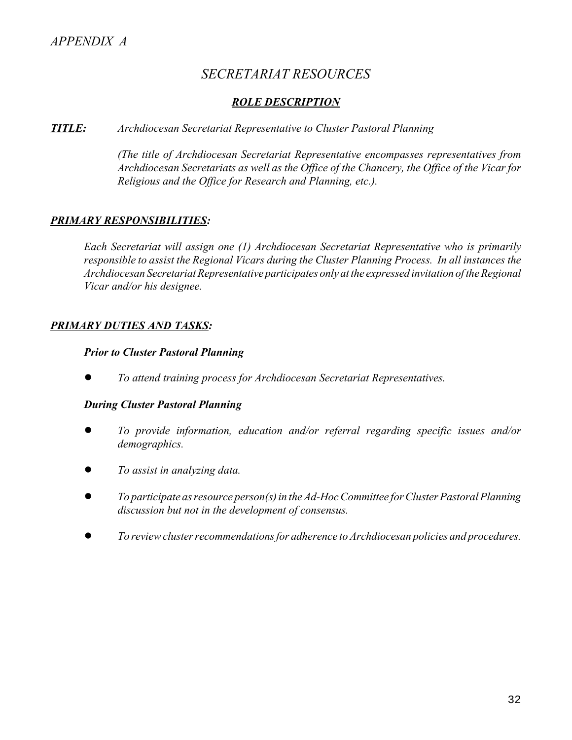# *SECRETARIAT RESOURCES*

#### *ROLE DESCRIPTION*

#### *TITLE: Archdiocesan Secretariat Representative to Cluster Pastoral Planning*

*(The title of Archdiocesan Secretariat Representative encompasses representatives from Archdiocesan Secretariats as well as the Office of the Chancery, the Office of the Vicar for Religious and the Office for Research and Planning, etc.).*

#### *PRIMARY RESPONSIBILITIES:*

*Each Secretariat will assign one (1) Archdiocesan Secretariat Representative who is primarily responsible to assist the Regional Vicars during the Cluster Planning Process. In all instances the Archdiocesan Secretariat Representative participates only at the expressed invitation of the Regional Vicar and/or his designee.*

#### *PRIMARY DUTIES AND TASKS:*

#### *Prior to Cluster Pastoral Planning*

! *To attend training process for Archdiocesan Secretariat Representatives.*

#### *During Cluster Pastoral Planning*

- ! *To provide information, education and/or referral regarding specific issues and/or demographics.*
- ! *To assist in analyzing data.*
- ! *To participate asresource person(s)in theAd-HocCommittee for Cluster Pastoral Planning discussion but not in the development of consensus.*
- ! *To reviewclusterrecommendationsfor adherence to Archdiocesan policies and procedures.*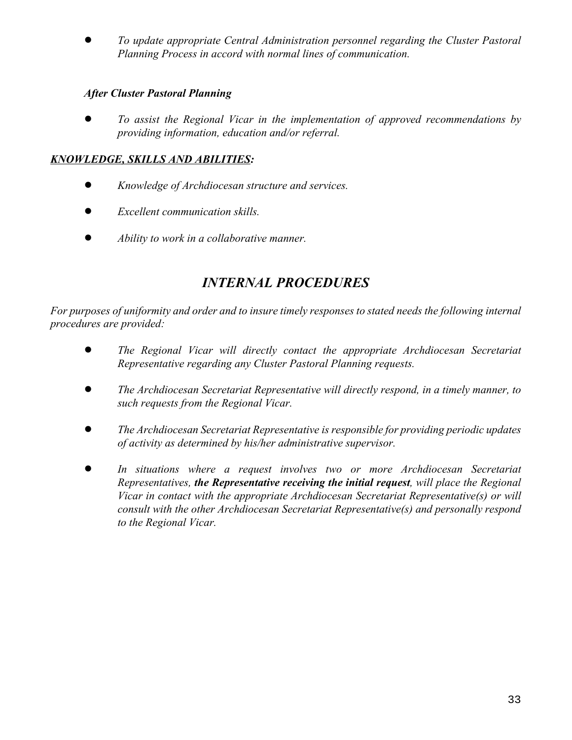! *To update appropriate Central Administration personnel regarding the Cluster Pastoral Planning Process in accord with normal lines of communication.*

#### *After Cluster Pastoral Planning*

! *To assist the Regional Vicar in the implementation of approved recommendations by providing information, education and/or referral.*

## *KNOWLEDGE, SKILLS AND ABILITIES:*

- ! *Knowledge of Archdiocesan structure and services.*
- ! *Excellent communication skills.*
- ! *Ability to work in a collaborative manner.*

# *INTERNAL PROCEDURES*

For purposes of uniformity and order and to insure timely responses to stated needs the following internal *procedures are provided:*

- ! *The Regional Vicar will directly contact the appropriate Archdiocesan Secretariat Representative regarding any Cluster Pastoral Planning requests.*
- ! *The Archdiocesan Secretariat Representative will directly respond, in a timely manner, to such requests from the Regional Vicar.*
- ! *The Archdiocesan Secretariat Representative is responsible for providing periodic updates of activity as determined by his/her administrative supervisor.*
- ! *In situations where a request involves two or more Archdiocesan Secretariat Representatives, the Representative receiving the initial request, will place the Regional Vicar in contact with the appropriate Archdiocesan Secretariat Representative(s) or will consult with the other Archdiocesan Secretariat Representative(s) and personally respond to the Regional Vicar.*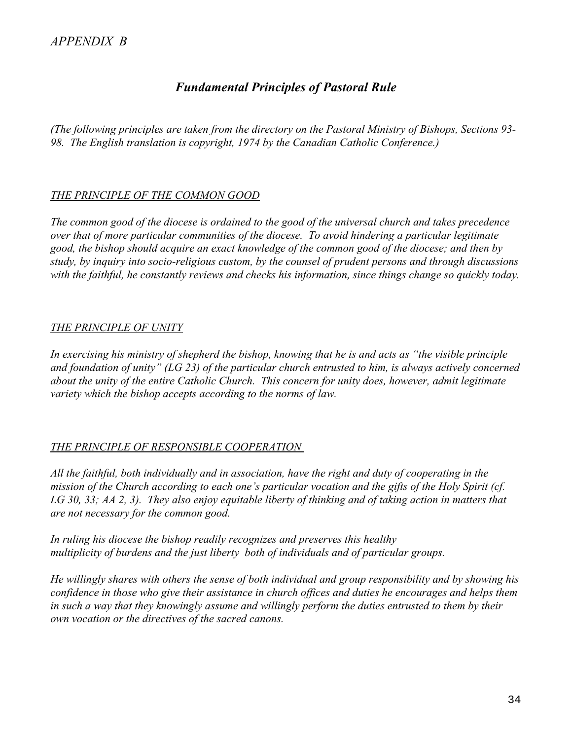# *Fundamental Principles of Pastoral Rule*

*(The following principles are taken from the directory on the Pastoral Ministry of Bishops, Sections 93- 98. The English translation is copyright, 1974 by the Canadian Catholic Conference.)*

## *THE PRINCIPLE OF THE COMMON GOOD*

*The common good of the diocese is ordained to the good of the universal church and takes precedence over that of more particular communities of the diocese. To avoid hindering a particular legitimate good, the bishop should acquire an exact knowledge of the common good of the diocese; and then by study, by inquiry into socio-religious custom, by the counsel of prudent persons and through discussions with the faithful, he constantly reviews and checks his information, since things change so quickly today.*

## *THE PRINCIPLE OF UNITY*

*In exercising his ministry of shepherd the bishop, knowing that he is and acts as "the visible principle and foundation of unity" (LG 23) of the particular church entrusted to him, is always actively concerned about the unity of the entire Catholic Church. This concern for unity does, however, admit legitimate variety which the bishop accepts according to the norms of law.*

## *THE PRINCIPLE OF RESPONSIBLE COOPERATION*

*All the faithful, both individually and in association, have the right and duty of cooperating in the mission of the Church according to each one's particular vocation and the gifts of the Holy Spirit (cf. LG 30, 33; AA 2, 3). They also enjoy equitable liberty of thinking and of taking action in matters that are not necessary for the common good.*

*In ruling his diocese the bishop readily recognizes and preserves this healthy multiplicity of burdens and the just liberty both of individuals and of particular groups.*

*He willingly shares with others the sense of both individual and group responsibility and by showing his confidence in those who give their assistance in church offices and duties he encourages and helps them in such a way that they knowingly assume and willingly perform the duties entrusted to them by their own vocation or the directives of the sacred canons.*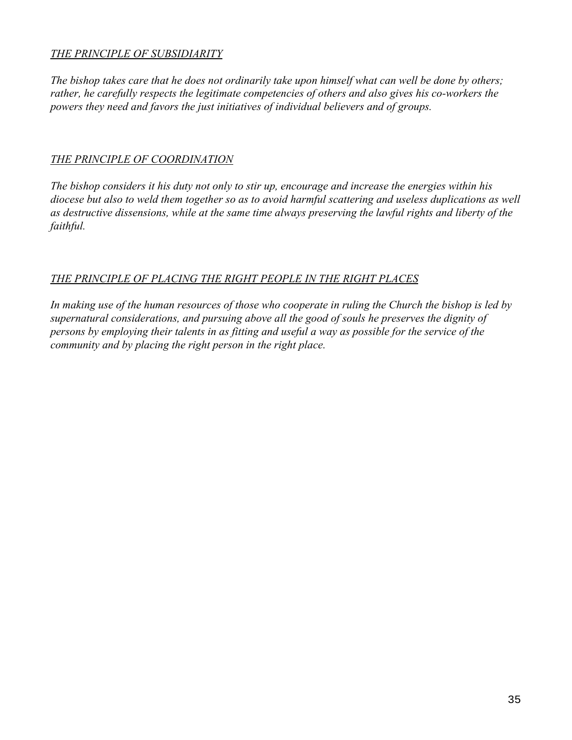#### *THE PRINCIPLE OF SUBSIDIARITY*

*The bishop takes care that he does not ordinarily take upon himself what can well be done by others; rather, he carefully respects the legitimate competencies of others and also gives his co-workers the powers they need and favors the just initiatives of individual believers and of groups.*

#### *THE PRINCIPLE OF COORDINATION*

*The bishop considers it his duty not only to stir up, encourage and increase the energies within his diocese but also to weld them together so as to avoid harmful scattering and useless duplications as well as destructive dissensions, while at the same time always preserving the lawful rights and liberty of the faithful.*

#### *THE PRINCIPLE OF PLACING THE RIGHT PEOPLE IN THE RIGHT PLACES*

*In making use of the human resources of those who cooperate in ruling the Church the bishop is led by supernatural considerations, and pursuing above all the good of souls he preserves the dignity of persons by employing their talents in as fitting and useful a way as possible for the service of the community and by placing the right person in the right place.*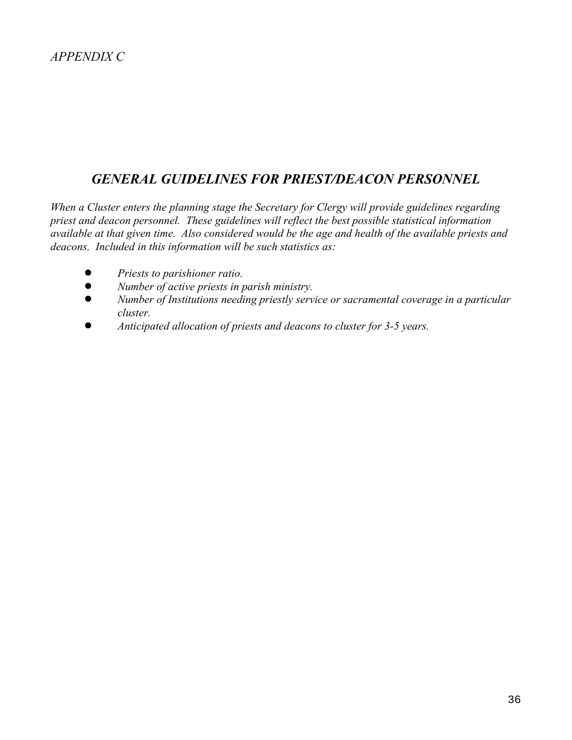# *GENERAL GUIDELINES FOR PRIEST/DEACON PERSONNEL*

*When a Cluster enters the planning stage the Secretary for Clergy will provide guidelines regarding priest and deacon personnel. These guidelines will reflect the best possible statistical information available at that given time. Also considered would be the age and health of the available priests and deacons. Included in this information will be such statistics as:*

- ! *Priests to parishioner ratio.*
- ! *Number of active priests in parish ministry.*
- ! *Number of Institutions needing priestly service or sacramental coverage in a particular cluster.*
- ! *Anticipated allocation of priests and deacons to cluster for 3-5 years.*